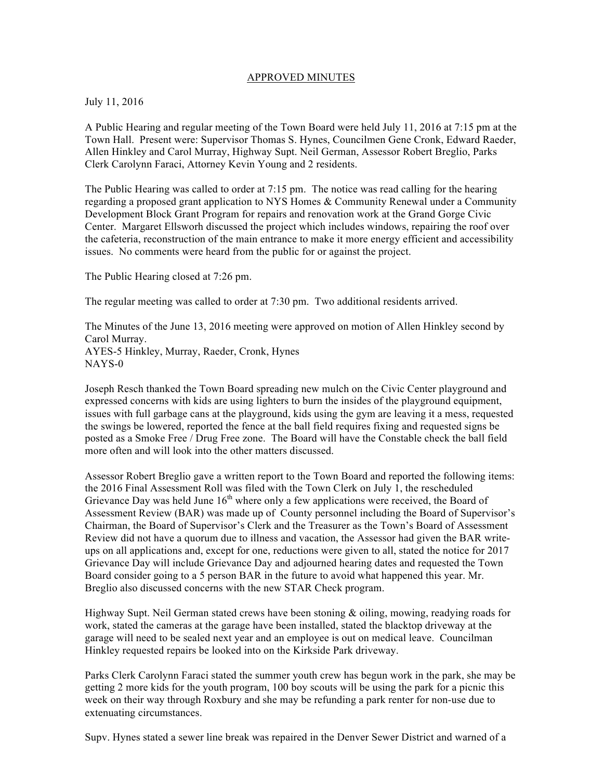## APPROVED MINUTES

## July 11, 2016

A Public Hearing and regular meeting of the Town Board were held July 11, 2016 at 7:15 pm at the Town Hall. Present were: Supervisor Thomas S. Hynes, Councilmen Gene Cronk, Edward Raeder, Allen Hinkley and Carol Murray, Highway Supt. Neil German, Assessor Robert Breglio, Parks Clerk Carolynn Faraci, Attorney Kevin Young and 2 residents.

The Public Hearing was called to order at 7:15 pm. The notice was read calling for the hearing regarding a proposed grant application to NYS Homes & Community Renewal under a Community Development Block Grant Program for repairs and renovation work at the Grand Gorge Civic Center. Margaret Ellsworh discussed the project which includes windows, repairing the roof over the cafeteria, reconstruction of the main entrance to make it more energy efficient and accessibility issues. No comments were heard from the public for or against the project.

The Public Hearing closed at 7:26 pm.

The regular meeting was called to order at 7:30 pm. Two additional residents arrived.

The Minutes of the June 13, 2016 meeting were approved on motion of Allen Hinkley second by Carol Murray. AYES-5 Hinkley, Murray, Raeder, Cronk, Hynes NAYS-0

Joseph Resch thanked the Town Board spreading new mulch on the Civic Center playground and expressed concerns with kids are using lighters to burn the insides of the playground equipment, issues with full garbage cans at the playground, kids using the gym are leaving it a mess, requested the swings be lowered, reported the fence at the ball field requires fixing and requested signs be posted as a Smoke Free / Drug Free zone. The Board will have the Constable check the ball field more often and will look into the other matters discussed.

Assessor Robert Breglio gave a written report to the Town Board and reported the following items: the 2016 Final Assessment Roll was filed with the Town Clerk on July 1, the rescheduled Grievance Day was held June  $16<sup>th</sup>$  where only a few applications were received, the Board of Assessment Review (BAR) was made up of County personnel including the Board of Supervisor's Chairman, the Board of Supervisor's Clerk and the Treasurer as the Town's Board of Assessment Review did not have a quorum due to illness and vacation, the Assessor had given the BAR writeups on all applications and, except for one, reductions were given to all, stated the notice for 2017 Grievance Day will include Grievance Day and adjourned hearing dates and requested the Town Board consider going to a 5 person BAR in the future to avoid what happened this year. Mr. Breglio also discussed concerns with the new STAR Check program.

Highway Supt. Neil German stated crews have been stoning & oiling, mowing, readying roads for work, stated the cameras at the garage have been installed, stated the blacktop driveway at the garage will need to be sealed next year and an employee is out on medical leave. Councilman Hinkley requested repairs be looked into on the Kirkside Park driveway.

Parks Clerk Carolynn Faraci stated the summer youth crew has begun work in the park, she may be getting 2 more kids for the youth program, 100 boy scouts will be using the park for a picnic this week on their way through Roxbury and she may be refunding a park renter for non-use due to extenuating circumstances.

Supv. Hynes stated a sewer line break was repaired in the Denver Sewer District and warned of a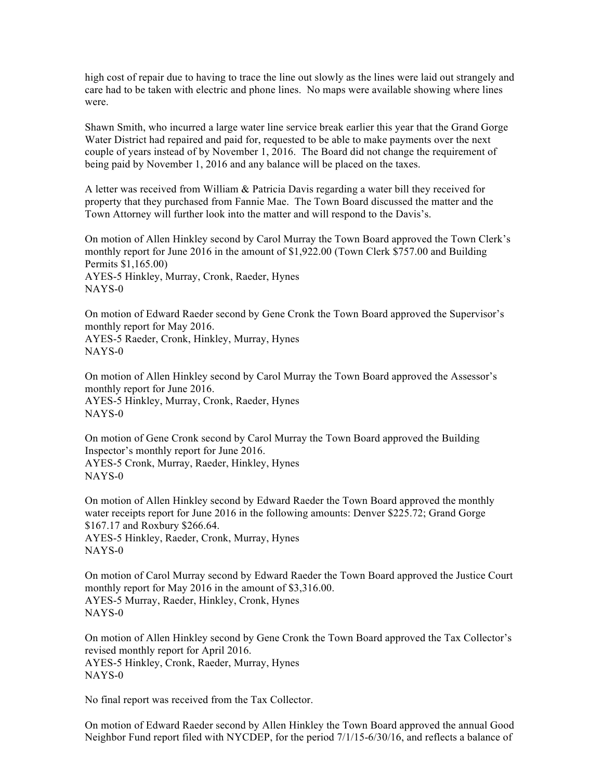high cost of repair due to having to trace the line out slowly as the lines were laid out strangely and care had to be taken with electric and phone lines. No maps were available showing where lines were.

Shawn Smith, who incurred a large water line service break earlier this year that the Grand Gorge Water District had repaired and paid for, requested to be able to make payments over the next couple of years instead of by November 1, 2016. The Board did not change the requirement of being paid by November 1, 2016 and any balance will be placed on the taxes.

A letter was received from William & Patricia Davis regarding a water bill they received for property that they purchased from Fannie Mae. The Town Board discussed the matter and the Town Attorney will further look into the matter and will respond to the Davis's.

On motion of Allen Hinkley second by Carol Murray the Town Board approved the Town Clerk's monthly report for June 2016 in the amount of \$1,922.00 (Town Clerk \$757.00 and Building Permits \$1,165.00) AYES-5 Hinkley, Murray, Cronk, Raeder, Hynes NAYS-0

On motion of Edward Raeder second by Gene Cronk the Town Board approved the Supervisor's monthly report for May 2016. AYES-5 Raeder, Cronk, Hinkley, Murray, Hynes NAYS-0

On motion of Allen Hinkley second by Carol Murray the Town Board approved the Assessor's monthly report for June 2016. AYES-5 Hinkley, Murray, Cronk, Raeder, Hynes NAYS-0

On motion of Gene Cronk second by Carol Murray the Town Board approved the Building Inspector's monthly report for June 2016. AYES-5 Cronk, Murray, Raeder, Hinkley, Hynes NAYS-0

On motion of Allen Hinkley second by Edward Raeder the Town Board approved the monthly water receipts report for June 2016 in the following amounts: Denver \$225.72; Grand Gorge \$167.17 and Roxbury \$266.64. AYES-5 Hinkley, Raeder, Cronk, Murray, Hynes NAYS-0

On motion of Carol Murray second by Edward Raeder the Town Board approved the Justice Court monthly report for May 2016 in the amount of \$3,316.00. AYES-5 Murray, Raeder, Hinkley, Cronk, Hynes NAYS-0

On motion of Allen Hinkley second by Gene Cronk the Town Board approved the Tax Collector's revised monthly report for April 2016. AYES-5 Hinkley, Cronk, Raeder, Murray, Hynes NAYS-0

No final report was received from the Tax Collector.

On motion of Edward Raeder second by Allen Hinkley the Town Board approved the annual Good Neighbor Fund report filed with NYCDEP, for the period 7/1/15-6/30/16, and reflects a balance of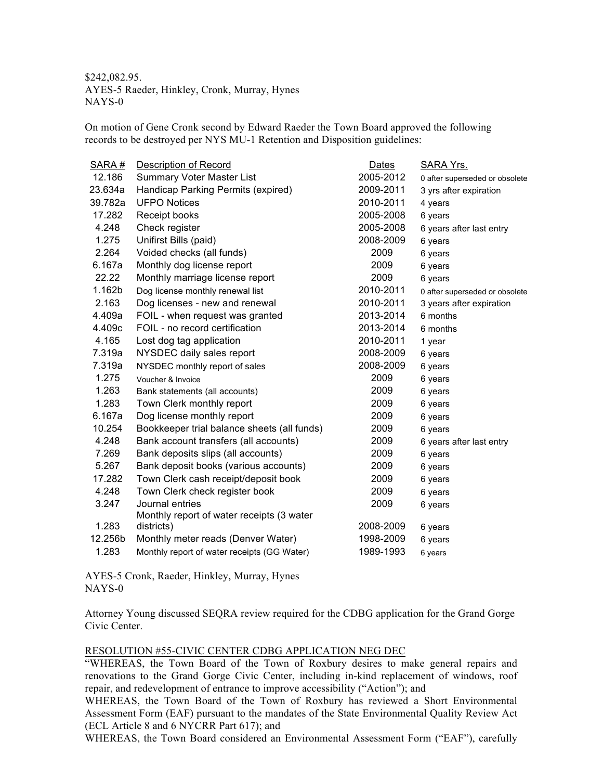\$242,082.95. AYES-5 Raeder, Hinkley, Cronk, Murray, Hynes NAYS-0

On motion of Gene Cronk second by Edward Raeder the Town Board approved the following records to be destroyed per NYS MU-1 Retention and Disposition guidelines:

| SARA#   | <b>Description of Record</b>                | Dates     | SARA Yrs.                      |
|---------|---------------------------------------------|-----------|--------------------------------|
| 12.186  | <b>Summary Voter Master List</b>            | 2005-2012 | 0 after superseded or obsolete |
| 23.634a | Handicap Parking Permits (expired)          | 2009-2011 | 3 yrs after expiration         |
| 39.782a | <b>UFPO Notices</b>                         | 2010-2011 | 4 years                        |
| 17.282  | Receipt books                               | 2005-2008 | 6 years                        |
| 4.248   | Check register                              | 2005-2008 | 6 years after last entry       |
| 1.275   | Unifirst Bills (paid)                       | 2008-2009 | 6 years                        |
| 2.264   | Voided checks (all funds)                   | 2009      | 6 years                        |
| 6.167a  | Monthly dog license report                  | 2009      | 6 years                        |
| 22.22   | Monthly marriage license report             | 2009      | 6 years                        |
| 1.162b  | Dog license monthly renewal list            | 2010-2011 | 0 after superseded or obsolete |
| 2.163   | Dog licenses - new and renewal              | 2010-2011 | 3 years after expiration       |
| 4.409a  | FOIL - when request was granted             | 2013-2014 | 6 months                       |
| 4.409c  | FOIL - no record certification              | 2013-2014 | 6 months                       |
| 4.165   | Lost dog tag application                    | 2010-2011 | 1 year                         |
| 7.319a  | NYSDEC daily sales report                   | 2008-2009 | 6 years                        |
| 7.319a  | NYSDEC monthly report of sales              | 2008-2009 | 6 years                        |
| 1.275   | Voucher & Invoice                           | 2009      | 6 years                        |
| 1.263   | Bank statements (all accounts)              | 2009      | 6 years                        |
| 1.283   | Town Clerk monthly report                   | 2009      | 6 years                        |
| 6.167a  | Dog license monthly report                  | 2009      | 6 years                        |
| 10.254  | Bookkeeper trial balance sheets (all funds) | 2009      | 6 years                        |
| 4.248   | Bank account transfers (all accounts)       | 2009      | 6 years after last entry       |
| 7.269   | Bank deposits slips (all accounts)          | 2009      | 6 years                        |
| 5.267   | Bank deposit books (various accounts)       | 2009      | 6 years                        |
| 17.282  | Town Clerk cash receipt/deposit book        | 2009      | 6 years                        |
| 4.248   | Town Clerk check register book              | 2009      | 6 years                        |
| 3.247   | Journal entries                             | 2009      | 6 years                        |
|         | Monthly report of water receipts (3 water   |           |                                |
| 1.283   | districts)                                  | 2008-2009 | 6 years                        |
| 12.256b | Monthly meter reads (Denver Water)          | 1998-2009 | 6 years                        |
| 1.283   | Monthly report of water receipts (GG Water) | 1989-1993 | 6 years                        |

AYES-5 Cronk, Raeder, Hinkley, Murray, Hynes NAYS-0

Attorney Young discussed SEQRA review required for the CDBG application for the Grand Gorge Civic Center.

## RESOLUTION #55-CIVIC CENTER CDBG APPLICATION NEG DEC

"WHEREAS, the Town Board of the Town of Roxbury desires to make general repairs and renovations to the Grand Gorge Civic Center, including in-kind replacement of windows, roof repair, and redevelopment of entrance to improve accessibility ("Action"); and

WHEREAS, the Town Board of the Town of Roxbury has reviewed a Short Environmental Assessment Form (EAF) pursuant to the mandates of the State Environmental Quality Review Act (ECL Article 8 and 6 NYCRR Part 617); and

WHEREAS, the Town Board considered an Environmental Assessment Form ("EAF"), carefully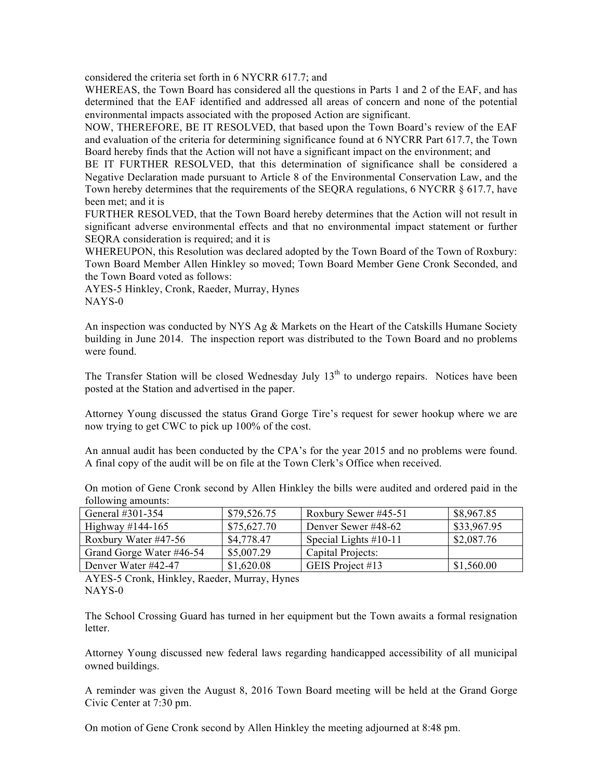considered the criteria set forth in 6 NYCRR 617.7; and

WHEREAS, the Town Board has considered all the questions in Parts 1 and 2 of the EAF, and has determined that the EAF identified and addressed all areas of concern and none of the potential environmental impacts associated with the proposed Action are significant.

NOW, THEREFORE, BE IT RESOLVED, that based upon the Town Board's review of the EAF and evaluation of the criteria for determining significance found at 6 NYCRR Part 617.7, the Town Board hereby finds that the Action will not have a significant impact on the environment; and

BE IT FURTHER RESOLVED, that this determination of significance shall be considered a Negative Declaration made pursuant to Article 8 of the Environmental Conservation Law, and the Town hereby determines that the requirements of the SEQRA regulations, 6 NYCRR § 617.7, have been met; and it is

FURTHER RESOLVED, that the Town Board hereby determines that the Action will not result in significant adverse environmental effects and that no environmental impact statement or further SEQRA consideration is required; and it is

WHEREUPON, this Resolution was declared adopted by the Town Board of the Town of Roxbury: Town Board Member Allen Hinkley so moved; Town Board Member Gene Cronk Seconded, and the Town Board voted as follows:

AYES-5 Hinkley, Cronk, Raeder, Murray, Hynes NAYS-0

An inspection was conducted by NYS Ag & Markets on the Heart of the Catskills Humane Society building in June 2014. The inspection report was distributed to the Town Board and no problems were found.

The Transfer Station will be closed Wednesday July  $13<sup>th</sup>$  to undergo repairs. Notices have been posted at the Station and advertised in the paper.

Attorney Young discussed the status Grand Gorge Tire's request for sewer hookup where we are now trying to get CWC to pick up 100% of the cost.

An annual audit has been conducted by the CPA's for the year 2015 and no problems were found. A final copy of the audit will be on file at the Town Clerk's Office when received.

| TOITOWING allowing.      |             |                         |             |  |
|--------------------------|-------------|-------------------------|-------------|--|
| General #301-354         | \$79,526.75 | Roxbury Sewer #45-51    | \$8,967.85  |  |
| Highway $\#144 - 165$    | \$75,627.70 | Denver Sewer #48-62     | \$33,967.95 |  |
| Roxbury Water #47-56     | \$4,778.47  | Special Lights $#10-11$ | \$2,087.76  |  |
| Grand Gorge Water #46-54 | \$5,007.29  | Capital Projects:       |             |  |
| Denver Water #42-47      | \$1,620.08  | GEIS Project #13        | \$1,560.00  |  |

On motion of Gene Cronk second by Allen Hinkley the bills were audited and ordered paid in the following amounts:

AYES-5 Cronk, Hinkley, Raeder, Murray, Hynes NAYS-0

The School Crossing Guard has turned in her equipment but the Town awaits a formal resignation letter.

Attorney Young discussed new federal laws regarding handicapped accessibility of all municipal owned buildings.

A reminder was given the August 8, 2016 Town Board meeting will be held at the Grand Gorge Civic Center at 7:30 pm.

On motion of Gene Cronk second by Allen Hinkley the meeting adjourned at 8:48 pm.